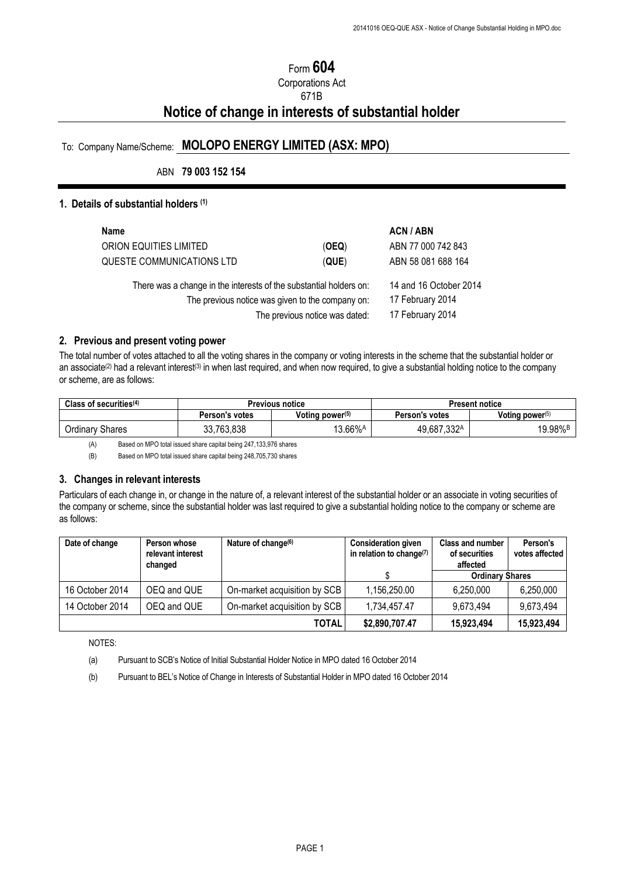# Form **604**

# Corporations Act 671B **Notice of change in interests of substantial holder**

# To: Company Name/Scheme: **MOLOPO ENERGY LIMITED (ASX: MPO)**

## ABN **79 003 152 154**

## **1. Details of substantial holders (1)**

| Name                                                                                                                                                     |                                                                | ACN / ABN          |
|----------------------------------------------------------------------------------------------------------------------------------------------------------|----------------------------------------------------------------|--------------------|
| ORION EQUITIES LIMITED                                                                                                                                   | (OEQ)                                                          | ABN 77 000 742 843 |
| QUESTE COMMUNICATIONS LTD                                                                                                                                | (QUE)                                                          | ABN 58 081 688 164 |
| There was a change in the interests of the substantial holders on:<br>The previous notice was given to the company on:<br>The previous notice was dated: | 14 and 16 October 2014<br>17 February 2014<br>17 February 2014 |                    |

#### **2. Previous and present voting power**

The total number of votes attached to all the voting shares in the company or voting interests in the scheme that the substantial holder or an associate<sup>(2)</sup> had a relevant interest<sup>(3)</sup> in when last required, and when now required, to give a substantial holding notice to the company or scheme, are as follows:

| Class of securities $(4)$ | <b>Previous notice</b> |                             |                       | <b>Present notice</b> |
|---------------------------|------------------------|-----------------------------|-----------------------|-----------------------|
|                           | Person's votes         | Voting power <sup>(5)</sup> | <b>Person's votes</b> | Voting power $(5)$    |
| <b>Ordinary Shares</b>    | 33,763,838             | 13.66%A                     | 49,687,332A           | 19.98% <sup>B</sup>   |

(A) Based on MPO total issued share capital being 247,133,976 shares

(B) Based on MPO total issued share capital being 248,705,730 shares

#### **3. Changes in relevant interests**

Particulars of each change in, or change in the nature of, a relevant interest of the substantial holder or an associate in voting securities of the company or scheme, since the substantial holder was last required to give a substantial holding notice to the company or scheme are as follows:

| Date of change  | Person whose<br>relevant interest<br>changed | Nature of change <sup>(6)</sup> | <b>Consideration given</b><br>in relation to change <sup>(7)</sup> | Class and number<br>of securities<br>affected | Person's<br>votes affected |
|-----------------|----------------------------------------------|---------------------------------|--------------------------------------------------------------------|-----------------------------------------------|----------------------------|
|                 |                                              |                                 |                                                                    | <b>Ordinary Shares</b>                        |                            |
| 16 October 2014 | OEQ and QUE                                  | On-market acquisition by SCB    | 1,156,250.00                                                       | 6.250.000                                     | 6,250,000                  |
| 14 October 2014 | OEQ and QUE                                  | On-market acquisition by SCB    | 1,734,457.47                                                       | 9,673,494                                     | 9,673,494                  |
|                 |                                              | TOTAL                           | \$2,890,707.47                                                     | 15,923,494                                    | 15,923,494                 |

NOTES:

(a) Pursuant to SCB's Notice of Initial Substantial Holder Notice in MPO dated 16 October 2014

(b) Pursuant to BEL's Notice of Change in Interests of Substantial Holder in MPO dated 16 October 2014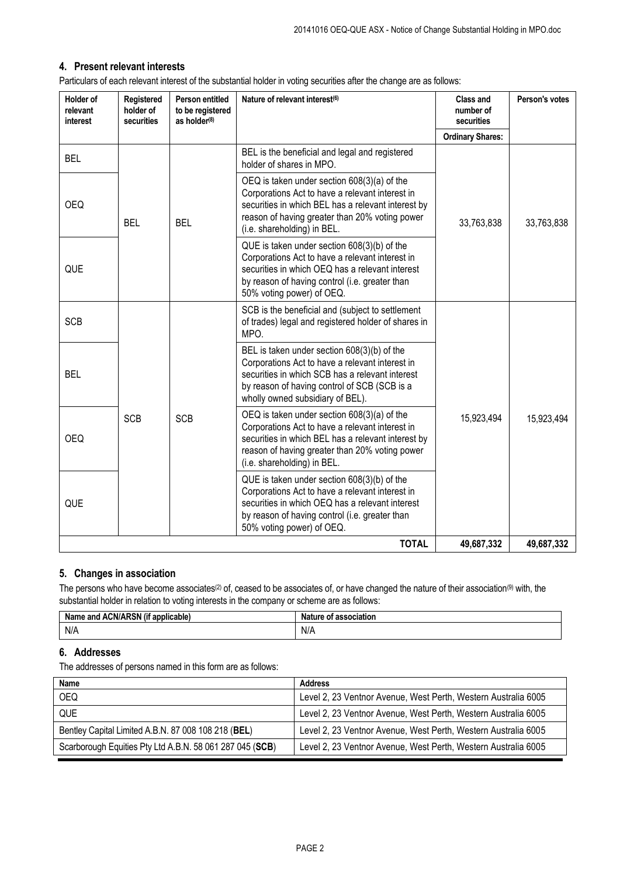## **4. Present relevant interests**

Particulars of each relevant interest of the substantial holder in voting securities after the change are as follows:

| Holder of<br>relevant<br>interest | Registered<br>holder of<br>securities | Person entitled<br>to be registered<br>as holder <sup>(8)</sup> | Nature of relevant interest <sup>(6)</sup>                                                                                                                                                                                                | <b>Class and</b><br>number of<br>securities | Person's votes |
|-----------------------------------|---------------------------------------|-----------------------------------------------------------------|-------------------------------------------------------------------------------------------------------------------------------------------------------------------------------------------------------------------------------------------|---------------------------------------------|----------------|
|                                   |                                       |                                                                 |                                                                                                                                                                                                                                           | <b>Ordinary Shares:</b>                     |                |
| <b>BEL</b>                        |                                       |                                                                 | BEL is the beneficial and legal and registered<br>holder of shares in MPO.                                                                                                                                                                |                                             |                |
| <b>OEQ</b>                        | <b>BEL</b>                            | <b>BEL</b>                                                      | OEQ is taken under section 608(3)(a) of the<br>Corporations Act to have a relevant interest in<br>securities in which BEL has a relevant interest by<br>reason of having greater than 20% voting power<br>(i.e. shareholding) in BEL.     | 33,763,838                                  | 33,763,838     |
| QUE                               |                                       |                                                                 | QUE is taken under section 608(3)(b) of the<br>Corporations Act to have a relevant interest in<br>securities in which OEQ has a relevant interest<br>by reason of having control (i.e. greater than<br>50% voting power) of OEQ.          |                                             |                |
| <b>SCB</b>                        |                                       |                                                                 | SCB is the beneficial and (subject to settlement<br>of trades) legal and registered holder of shares in<br>MPO.                                                                                                                           |                                             |                |
| BEL                               |                                       |                                                                 | BEL is taken under section 608(3)(b) of the<br>Corporations Act to have a relevant interest in<br>securities in which SCB has a relevant interest<br>by reason of having control of SCB (SCB is a<br>wholly owned subsidiary of BEL).     |                                             |                |
| <b>OEQ</b>                        | <b>SCB</b>                            | <b>SCB</b>                                                      | $DEQ$ is taken under section $608(3)(a)$ of the<br>Corporations Act to have a relevant interest in<br>securities in which BEL has a relevant interest by<br>reason of having greater than 20% voting power<br>(i.e. shareholding) in BEL. | 15,923,494                                  | 15,923,494     |
| QUE                               |                                       |                                                                 | QUE is taken under section 608(3)(b) of the<br>Corporations Act to have a relevant interest in<br>securities in which OEQ has a relevant interest<br>by reason of having control (i.e. greater than<br>50% voting power) of OEQ.          |                                             |                |
| <b>TOTAL</b>                      |                                       |                                                                 | 49,687,332                                                                                                                                                                                                                                | 49,687,332                                  |                |

## **5. Changes in association**

The persons who have become associates<sup>(2)</sup> of, ceased to be associates of, or have changed the nature of their association<sup>(9)</sup> with, the substantial holder in relation to voting interests in the company or scheme are as follows:

| .u ACN/ARSN / '<br><br>`applicable,<br>Nа<br>and<br>. | association<br>Nature<br>. OT |  |
|-------------------------------------------------------|-------------------------------|--|
| N/A                                                   | N/A                           |  |

## **6. Addresses**

The addresses of persons named in this form are as follows:

| Name                                                     | <b>Address</b>                                                 |
|----------------------------------------------------------|----------------------------------------------------------------|
| OEQ.                                                     | Level 2, 23 Ventnor Avenue, West Perth, Western Australia 6005 |
| QUE                                                      | Level 2, 23 Ventnor Avenue, West Perth, Western Australia 6005 |
| Bentley Capital Limited A.B.N. 87 008 108 218 (BEL)      | Level 2, 23 Ventnor Avenue, West Perth, Western Australia 6005 |
| Scarborough Equities Pty Ltd A.B.N. 58 061 287 045 (SCB) | Level 2, 23 Ventnor Avenue, West Perth, Western Australia 6005 |